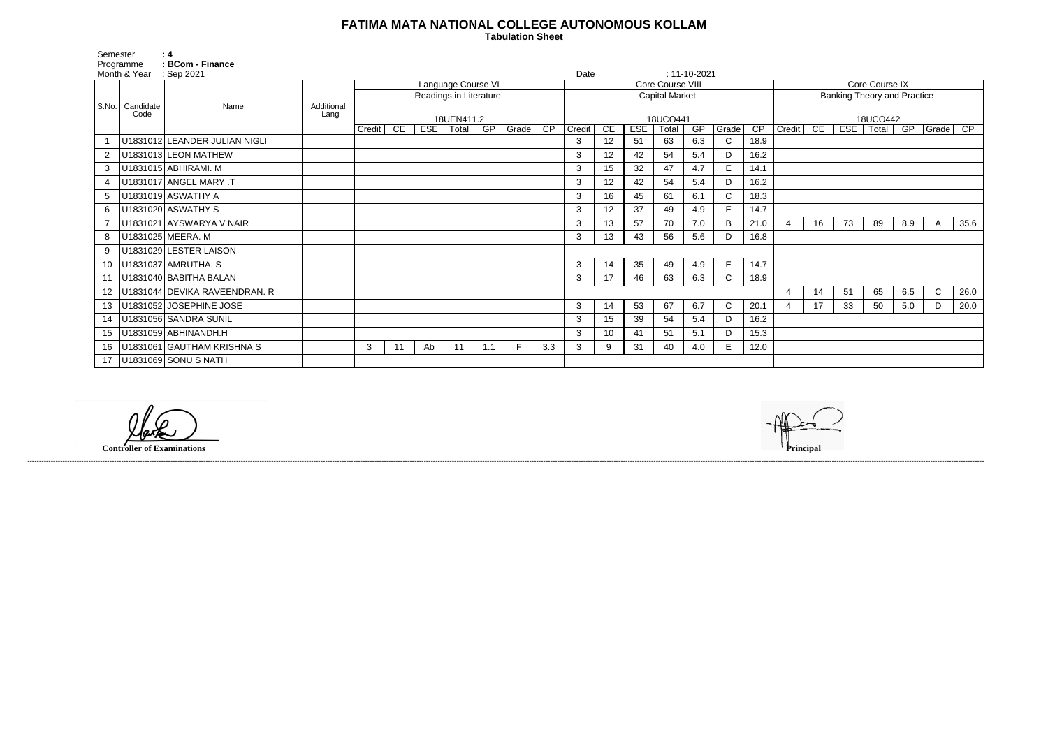## **FATIMA MATA NATIONAL COLLEGE AUTONOMOUS KOLLAM**

 **Tabulation Sheet** 

| <b>Core Course IX</b> |                                          |    |    |     |             |      |  |  |  |  |  |  |  |  |  |
|-----------------------|------------------------------------------|----|----|-----|-------------|------|--|--|--|--|--|--|--|--|--|
|                       | <b>Banking Theory and Practice</b>       |    |    |     |             |      |  |  |  |  |  |  |  |  |  |
|                       |                                          |    |    |     |             |      |  |  |  |  |  |  |  |  |  |
|                       | 18UCO442<br>$\overline{\text{CP}}$       |    |    |     |             |      |  |  |  |  |  |  |  |  |  |
| Credit                | CE<br><b>ESE</b><br>Total<br>GP<br>Grade |    |    |     |             |      |  |  |  |  |  |  |  |  |  |
|                       |                                          |    |    |     |             |      |  |  |  |  |  |  |  |  |  |
|                       |                                          |    |    |     |             |      |  |  |  |  |  |  |  |  |  |
|                       |                                          |    |    |     |             |      |  |  |  |  |  |  |  |  |  |
|                       |                                          |    |    |     |             |      |  |  |  |  |  |  |  |  |  |
|                       |                                          |    |    |     |             |      |  |  |  |  |  |  |  |  |  |
|                       |                                          |    |    |     |             |      |  |  |  |  |  |  |  |  |  |
| 4                     | 16                                       | 73 | 89 | 8.9 | Α           | 35.6 |  |  |  |  |  |  |  |  |  |
|                       |                                          |    |    |     |             |      |  |  |  |  |  |  |  |  |  |
|                       |                                          |    |    |     |             |      |  |  |  |  |  |  |  |  |  |
|                       |                                          |    |    |     |             |      |  |  |  |  |  |  |  |  |  |
|                       |                                          |    |    |     |             |      |  |  |  |  |  |  |  |  |  |
| 4                     | 14                                       | 51 | 65 | 6.5 | $\mathsf C$ | 26.0 |  |  |  |  |  |  |  |  |  |
| 4                     | 17                                       | 33 | 50 | 5.0 | D           | 20.0 |  |  |  |  |  |  |  |  |  |
|                       |                                          |    |    |     |             |      |  |  |  |  |  |  |  |  |  |
|                       |                                          |    |    |     |             |      |  |  |  |  |  |  |  |  |  |
|                       |                                          |    |    |     |             |      |  |  |  |  |  |  |  |  |  |
|                       |                                          |    |    |     |             |      |  |  |  |  |  |  |  |  |  |

| Semester        |                           | : 4                            |                    |        |                    |     |                        |     |               |                  |        |    |            |                       |                    |              |                |                                    |    |    |             |     |          |      |  |  |
|-----------------|---------------------------|--------------------------------|--------------------|--------|--------------------|-----|------------------------|-----|---------------|------------------|--------|----|------------|-----------------------|--------------------|--------------|----------------|------------------------------------|----|----|-------------|-----|----------|------|--|--|
|                 | Programme<br>Month & Year | : BCom - Finance<br>: Sep 2021 |                    |        |                    |     |                        |     |               |                  | Date   |    |            |                       | $: 11 - 10 - 2021$ |              |                |                                    |    |    |             |     |          |      |  |  |
|                 |                           |                                |                    |        | Language Course VI |     |                        |     |               | Core Course VIII |        |    |            |                       |                    |              | Core Course IX |                                    |    |    |             |     |          |      |  |  |
|                 |                           |                                |                    |        |                    |     | Readings in Literature |     |               |                  |        |    |            | <b>Capital Market</b> |                    |              |                | <b>Banking Theory and Practice</b> |    |    |             |     |          |      |  |  |
|                 | S.No.   Candidate<br>Code | Name                           | Additional<br>Lang |        |                    |     |                        |     |               |                  |        |    |            |                       |                    |              |                |                                    |    |    |             |     |          |      |  |  |
|                 |                           |                                |                    |        |                    |     | 18UEN411.2             |     |               |                  |        |    |            | 18UCO441              |                    |              |                |                                    |    |    | 18UCO442    |     |          |      |  |  |
|                 |                           |                                |                    | Credit | CE                 | EST | Total                  | GP  | $ $ Grade $ $ | $\overline{CP}$  | Credit | CE | <b>ESE</b> | Total                 | GP                 | Grade        | CP             | Credit                             | CE |    | ESE   Total | GP  | Grade CP |      |  |  |
|                 |                           | U1831012 LEANDER JULIAN NIGLI  |                    |        |                    |     |                        |     |               |                  | 3      | 12 | 51         | 63                    | 6.3                | $\mathsf{C}$ | 18.9           |                                    |    |    |             |     |          |      |  |  |
|                 |                           | U1831013 LEON MATHEW           |                    |        |                    |     |                        |     |               |                  | 3      | 12 | 42         | 54                    | 5.4                | D            | 16.2           |                                    |    |    |             |     |          |      |  |  |
| 3               |                           | U1831015 ABHIRAMI. M           |                    |        |                    |     |                        |     |               |                  | 3      | 15 | 32         | 47                    | 4.7                | E.           | 14.1           |                                    |    |    |             |     |          |      |  |  |
| 4               |                           | U1831017 ANGEL MARY .T         |                    |        |                    |     |                        |     |               |                  | 3      | 12 | 42         | 54                    | 5.4                | D            | 16.2           |                                    |    |    |             |     |          |      |  |  |
| 5               |                           | U1831019 ASWATHY A             |                    |        |                    |     |                        |     |               |                  | 3      | 16 | 45         | 61                    | 6.1                | C.           | 18.3           |                                    |    |    |             |     |          |      |  |  |
| 6               |                           | U1831020 ASWATHY S             |                    |        |                    |     |                        |     |               |                  | 3      | 12 | 37         | 49                    | 4.9                | E            | 14.7           |                                    |    |    |             |     |          |      |  |  |
|                 |                           | U1831021 AYSWARYA V NAIR       |                    |        |                    |     |                        |     |               |                  | 3      | 13 | 57         | 70                    | 7.0                | B            | 21.0           |                                    | 16 | 73 | 89          | 8.9 | A        | 35.6 |  |  |
| 8               |                           | U1831025 MEERA. M              |                    |        |                    |     |                        |     |               |                  | 3      | 13 | 43         | 56                    | 5.6                | D.           | 16.8           |                                    |    |    |             |     |          |      |  |  |
| 9               |                           | U1831029 LESTER LAISON         |                    |        |                    |     |                        |     |               |                  |        |    |            |                       |                    |              |                |                                    |    |    |             |     |          |      |  |  |
| 10              |                           | U1831037 AMRUTHA. S            |                    |        |                    |     |                        |     |               |                  | 3      | 14 | 35         | 49                    | 4.9                | E.           | 14.7           |                                    |    |    |             |     |          |      |  |  |
| 11              |                           | U1831040 BABITHA BALAN         |                    |        |                    |     |                        |     |               |                  | 3      | 17 | 46         | 63                    | 6.3                | $\mathsf{C}$ | 18.9           |                                    |    |    |             |     |          |      |  |  |
| 12 <sup>2</sup> |                           | U1831044 DEVIKA RAVEENDRAN. R  |                    |        |                    |     |                        |     |               |                  |        |    |            |                       |                    |              |                |                                    | 14 | 51 | 65          | 6.5 | C        | 26.0 |  |  |
| 13              |                           | U1831052 JOSEPHINE JOSE        |                    |        |                    |     |                        |     |               |                  | 3      | 14 | 53         | 67                    | 6.7                | $\mathsf{C}$ | 20.1           |                                    | 17 | 33 | 50          | 5.0 | D        | 20.0 |  |  |
| 14              |                           | U1831056 SANDRA SUNIL          |                    |        |                    |     |                        |     |               |                  | 3      | 15 | 39         | 54                    | 5.4                | D            | 16.2           |                                    |    |    |             |     |          |      |  |  |
| 15              |                           | U1831059 ABHINANDH.H           |                    |        |                    |     |                        |     |               |                  | 3      | 10 | 41         | 51                    | 5.1                | D            | 15.3           |                                    |    |    |             |     |          |      |  |  |
| 16              |                           | U1831061 GAUTHAM KRISHNA S     |                    | 3      | 11                 | Ab  | 11                     | 1.1 | F.            | 3.3              | 3      | 9  | 31         | 40                    | 4.0                | E.           | 12.0           |                                    |    |    |             |     |          |      |  |  |
| 17              |                           | U1831069 SONU S NATH           |                    |        |                    |     |                        |     |               |                  |        |    |            |                       |                    |              |                |                                    |    |    |             |     |          |      |  |  |

**Controller of Examinations** 

------------------------------------------------------------------------------------------------------------------------------------------------------------------------------------------------------------------------------------------------------------------------------------------------------------------------------------------------------------------------------------------------------------------------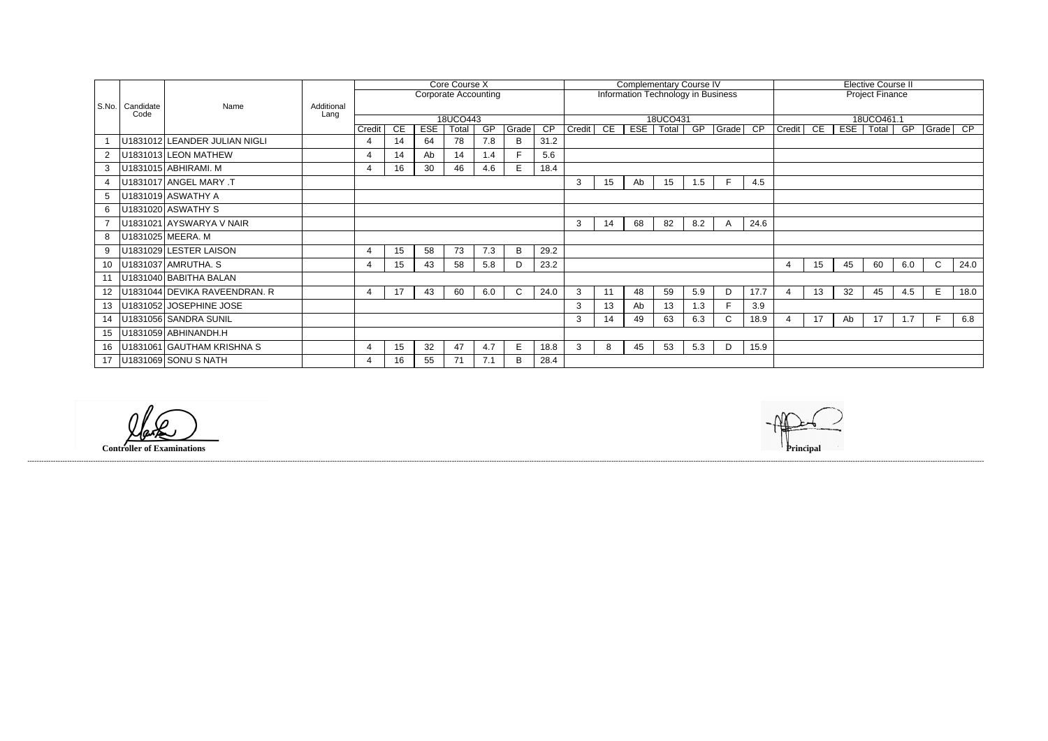| <b>Elective Course II</b> |    |            |       |     |             |                 |  |  |  |  |  |  |  |
|---------------------------|----|------------|-------|-----|-------------|-----------------|--|--|--|--|--|--|--|
| <b>Project Finance</b>    |    |            |       |     |             |                 |  |  |  |  |  |  |  |
| 18UCO461.1                |    |            |       |     |             |                 |  |  |  |  |  |  |  |
| Credit                    | CE | <b>ESE</b> | Total | GP  | Grade       | $\overline{CP}$ |  |  |  |  |  |  |  |
|                           |    |            |       |     |             |                 |  |  |  |  |  |  |  |
|                           |    |            |       |     |             |                 |  |  |  |  |  |  |  |
|                           |    |            |       |     |             |                 |  |  |  |  |  |  |  |
|                           |    |            |       |     |             |                 |  |  |  |  |  |  |  |
|                           |    |            |       |     |             |                 |  |  |  |  |  |  |  |
|                           |    |            |       |     |             |                 |  |  |  |  |  |  |  |
|                           |    |            |       |     |             |                 |  |  |  |  |  |  |  |
|                           |    |            |       |     |             |                 |  |  |  |  |  |  |  |
| 4                         | 15 | 45         | 60    | 6.0 | $\mathsf C$ | 24.0            |  |  |  |  |  |  |  |
|                           |    |            |       |     |             |                 |  |  |  |  |  |  |  |
| 4                         | 13 | 32         | 45    | 4.5 | E           | 18.0            |  |  |  |  |  |  |  |
|                           |    |            |       |     |             |                 |  |  |  |  |  |  |  |
| 4                         | 17 | Ab         | 17    | 1.7 | F           | 6.8             |  |  |  |  |  |  |  |
|                           |    |            |       |     |             |                 |  |  |  |  |  |  |  |
|                           |    |            |       |     |             |                 |  |  |  |  |  |  |  |
|                           |    |            |       |     |             |                 |  |  |  |  |  |  |  |

|         |                           |                               |                    | Core Course X               |                 |            |          |                 |              |                 |                                           | <b>Complementary Course IV</b> |                  |          |     |              |                        | <b>Elective Course II</b> |            |    |             |     |          |      |
|---------|---------------------------|-------------------------------|--------------------|-----------------------------|-----------------|------------|----------|-----------------|--------------|-----------------|-------------------------------------------|--------------------------------|------------------|----------|-----|--------------|------------------------|---------------------------|------------|----|-------------|-----|----------|------|
|         |                           |                               |                    | <b>Corporate Accounting</b> |                 |            |          |                 |              |                 | <b>Information Technology in Business</b> |                                |                  |          |     |              | <b>Project Finance</b> |                           |            |    |             |     |          |      |
|         | S.No.   Candidate<br>Code | Name                          | Additional<br>Lang |                             |                 |            |          |                 |              |                 |                                           |                                |                  |          |     |              |                        |                           |            |    |             |     |          |      |
|         |                           |                               |                    |                             |                 |            | 18UCO443 |                 |              |                 |                                           |                                |                  | 18UCO431 |     |              |                        |                           | 18UCO461.1 |    |             |     |          |      |
|         |                           |                               |                    | Credit                      | <b>CE</b>       | <b>ESE</b> | Total    | $\overline{GP}$ | Grade        | $\overline{CP}$ | Credit CE                                 |                                | ESE <sup>1</sup> | Total    | GP  | $ $ Grade    | $\overline{CP}$        | Credit                    | CE         |    | ESE   Total | GP  | Grade CP |      |
|         |                           | U1831012 LEANDER JULIAN NIGLI |                    | $\overline{4}$              | 14              | 64         | 78       | 7.8             | B            | 31.2            |                                           |                                |                  |          |     |              |                        |                           |            |    |             |     |          |      |
|         |                           | U1831013 LEON MATHEW          |                    | $\overline{4}$              | 14              | Ab         | 14       | 1.4             | F.           | 5.6             |                                           |                                |                  |          |     |              |                        |                           |            |    |             |     |          |      |
| 3       |                           | U1831015 ABHIRAMI. M          |                    | $\overline{4}$              | 16              | 30         | 46       | 4.6             | E            | 18.4            |                                           |                                |                  |          |     |              |                        |                           |            |    |             |     |          |      |
|         |                           | U1831017 ANGEL MARY .T        |                    |                             |                 |            |          |                 |              |                 | 3                                         | 15                             | Ab               | 15       | 1.5 |              | 4.5                    |                           |            |    |             |     |          |      |
| 5       |                           | U1831019 ASWATHY A            |                    |                             |                 |            |          |                 |              |                 |                                           |                                |                  |          |     |              |                        |                           |            |    |             |     |          |      |
|         |                           | U1831020 ASWATHY S            |                    |                             |                 |            |          |                 |              |                 |                                           |                                |                  |          |     |              |                        |                           |            |    |             |     |          |      |
|         |                           | U1831021 AYSWARYA V NAIR      |                    |                             |                 |            |          |                 |              |                 | 3                                         | 14                             | 68               | 82       | 8.2 | $\mathsf{A}$ | 24.6                   |                           |            |    |             |     |          |      |
| 8       |                           | U1831025 MEERA. M             |                    |                             |                 |            |          |                 |              |                 |                                           |                                |                  |          |     |              |                        |                           |            |    |             |     |          |      |
| 9       |                           | U1831029 LESTER LAISON        |                    | $\overline{4}$              | 15 <sub>1</sub> | 58         | 73       | 7.3             | B            | 29.2            |                                           |                                |                  |          |     |              |                        |                           |            |    |             |     |          |      |
| 10      |                           | U1831037 AMRUTHA. S           |                    | -4                          | 15 <sub>1</sub> | 43         | 58       | 5.8             | D            | 23.2            |                                           |                                |                  |          |     |              |                        | 4                         | 15         | 45 | 60          | 6.0 | C        | 24.0 |
|         |                           | U1831040 BABITHA BALAN        |                    |                             |                 |            |          |                 |              |                 |                                           |                                |                  |          |     |              |                        |                           |            |    |             |     |          |      |
| $12 \,$ |                           | U1831044 DEVIKA RAVEENDRAN. R |                    | $\overline{4}$              | 17              | 43         | 60       | 6.0             | $\mathsf{C}$ | 24.0            | 3                                         | 11                             | 48               | 59       | 5.9 | D            | 17.7                   | $\overline{4}$            | 13         | 32 | 45          | 4.5 | E        | 18.0 |
| 13      |                           | U1831052 JOSEPHINE JOSE       |                    |                             |                 |            |          |                 |              |                 | $\mathbf{3}$                              | 13                             | Ab               | 13       | 1.3 |              | 3.9                    |                           |            |    |             |     |          |      |
| 14      |                           | U1831056 SANDRA SUNIL         |                    |                             |                 |            |          |                 |              |                 | 3                                         | 14                             | 49               | 63       | 6.3 | C.           | 18.9                   |                           | 17         | Ab | 17          | 1.7 | E        | 6.8  |
| 15      |                           | U1831059 ABHINANDH.H          |                    |                             |                 |            |          |                 |              |                 |                                           |                                |                  |          |     |              |                        |                           |            |    |             |     |          |      |
| 16      |                           | U1831061 GAUTHAM KRISHNA S    |                    | -4                          | 15 <sub>1</sub> | 32         | 47       | 4.7             | E.           | 18.8            | 3                                         | 8                              | 45               | 53       | 5.3 | D            | 15.9                   |                           |            |    |             |     |          |      |
| 17      |                           | U1831069 SONU S NATH          |                    | 4                           | 16              | 55         | 71       | 7.1             | B            | 28.4            |                                           |                                |                  |          |     |              |                        |                           |            |    |             |     |          |      |

**Controller of Examinations** 

------------------------------------------------------------------------------------------------------------------------------------------------------------------------------------------------------------------------------------------------------------------------------------------------------------------------------------------------------------------------------------------------------------------------